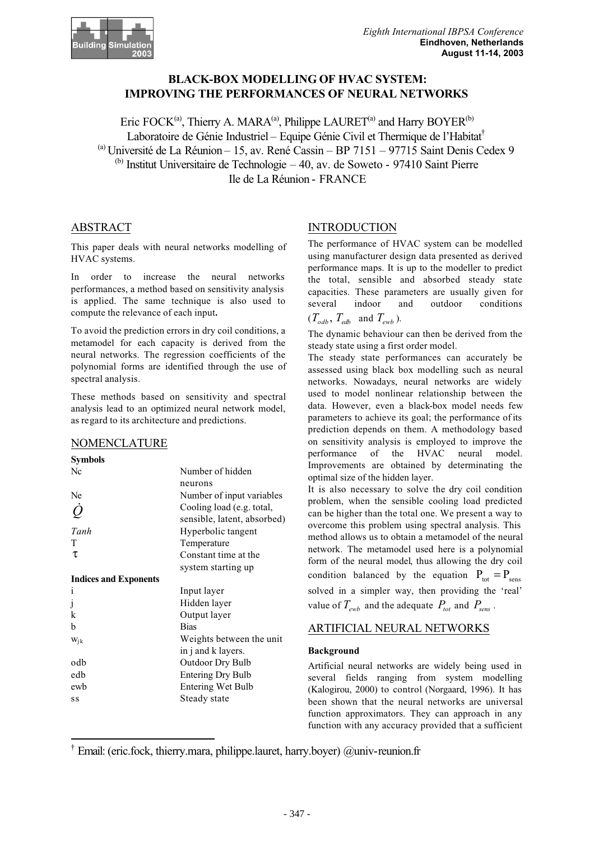

# **BLACK-BOX MODELLING OF HVAC SYSTEM: IMPROVING THE PERFORMANCES OF NEURAL NETWORKS**

Eric FOCK<sup>(a)</sup>, Thierry A. MARA<sup>(a)</sup>, Philippe LAURET<sup>(a)</sup> and Harry BOYER<sup>(b)</sup> Laboratoire de Génie Industriel – Equipe Génie Civil et Thermique de l'Habitat<sup>†</sup>  $^{(a)}$  Université de La Réunion – 15, av. René Cassin – BP 7151 – 97715 Saint Denis Cedex 9  $<sup>(b)</sup>$  Institut Universitaire de Technologie – 40, av. de Soweto - 97410 Saint Pierre</sup> Ile de La Réunion - FRANCE

### ABSTRACT

This paper deals with neural networks modelling of HVAC systems.

In order to increase the neural networks performances, a method based on sensitivity analysis is applied. The same technique is also used to compute the relevance of each input**.**

To avoid the prediction errors in dry coil conditions, a metamodel for each capacity is derived from the neural networks. The regression coefficients of the polynomial forms are identified through the use of spectral analysis.

These methods based on sensitivity and spectral analysis lead to an optimized neural network model, as regard to its architecture and predictions.

### NOMENCLATURE

### **Symbols**

| Nc                           | Number of hidden            |
|------------------------------|-----------------------------|
|                              | neurons                     |
| Ne                           | Number of input variables   |
| $\dot{\mathcal{Q}}$          | Cooling load (e.g. total,   |
|                              | sensible, latent, absorbed) |
| Tanh                         | Hyperbolic tangent          |
| T                            | Temperature                 |
| τ                            | Constant time at the        |
|                              | system starting up          |
| <b>Indices and Exponents</b> |                             |
| i                            | Input layer                 |
| j                            | Hidden layer                |
| k                            | Output layer                |
| b                            | <b>Bias</b>                 |
| $W_{ik}$                     | Weights between the unit    |
|                              | in j and k layers.          |
| odb                          | <b>Outdoor Dry Bulb</b>     |
| edb                          | <b>Entering Dry Bulb</b>    |
| ewb                          | Entering Wet Bulb           |
| SS                           | Steady state                |
|                              |                             |

### INTRODUCTION

The performance of HVAC system can be modelled using manufacturer design data presented as derived performance maps. It is up to the modeller to predict the total, sensible and absorbed steady state capacities. These parameters are usually given for several indoor and outdoor conditions  $(T_{\text{odb}}, T_{\text{edb}}$  and  $T_{\text{ewb}}$ ).

The dynamic behaviour can then be derived from the steady state using a first order model.

The steady state performances can accurately be assessed using black box modelling such as neural networks. Nowadays, neural networks are widely used to model nonlinear relationship between the data. However, even a black-box model needs few parameters to achieve its goal; the performance of its prediction depends on them. A methodology based on sensitivity analysis is employed to improve the performance of the HVAC neural model. Improvements are obtained by determinating the optimal size of the hidden layer.

It is also necessary to solve the dry coil condition problem, when the sensible cooling load predicted can be higher than the total one. We present a way to overcome this problem using spectral analysis. This method allows us to obtain a metamodel of the neural network. The metamodel used here is a polynomial form of the neural model, thus allowing the dry coil condition balanced by the equation  $P_{\text{tot}} = P_{\text{sens}}$ solved in a simpler way, then providing the 'real' value of  $T_{\text{sub}}$  and the adequate  $P_{\text{tot}}$  and  $P_{\text{sens}}$ .

## ARTIFICIAL NEURAL NETWORKS

### **Background**

Artificial neural networks are widely being used in several fields ranging from system modelling (Kalogirou, 2000) to control (Norgaard, 1996). It has been shown that the neural networks are universal function approximators. They can approach in any function with any accuracy provided that a sufficient

<sup>†</sup> Email: (eric.fock, thierry.mara, philippe.lauret, harry.boyer) @univ-reunion.fr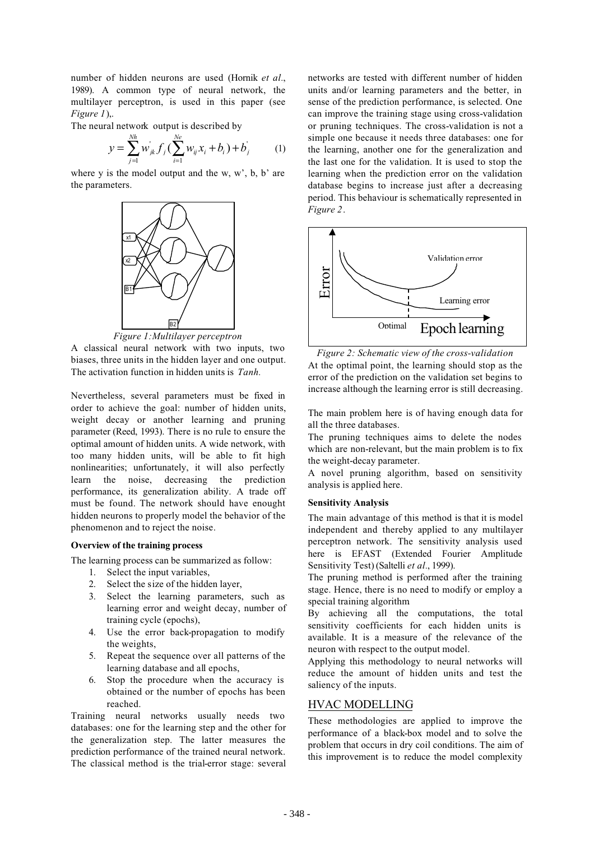number of hidden neurons are used (Hornik *et al.*, 1989). A common type of neural network, the multilayer perceptron, is used in this paper (see *Figure 1*),.

The neural network output is described by

$$
y = \sum_{j=1}^{Nh} w_{jk} f_j \left( \sum_{i=1}^{Ne} w_{ij} x_i + b_i \right) + b_j \tag{1}
$$

where y is the model output and the w,  $w'$ , b,  $b'$  are the parameters.



*Figure 1:Multilayer perceptron*

A classical neural network with two inputs, two biases, three units in the hidden layer and one output. The activation function in hidden units is *Tanh.*

Nevertheless, several parameters must be fixed in order to achieve the goal: number of hidden units, weight decay or another learning and pruning parameter (Reed, 1993). There is no rule to ensure the optimal amount of hidden units. A wide network, with too many hidden units, will be able to fit high nonlinearities; unfortunately, it will also perfectly learn the noise, decreasing the prediction performance, its generalization ability. A trade off must be found. The network should have enought hidden neurons to properly model the behavior of the phenomenon and to reject the noise.

#### **Overview of the training process**

The learning process can be summarized as follow:

- 1. Select the input variables,
- 2. Select the size of the hidden layer,
- 3. Select the learning parameters, such as learning error and weight decay, number of training cycle (epochs),
- 4. Use the error back-propagation to modify the weights,
- 5. Repeat the sequence over all patterns of the learning database and all epochs,
- 6. Stop the procedure when the accuracy is obtained or the number of epochs has been reached.

Training neural networks usually needs two databases: one for the learning step and the other for the generalization step. The latter measures the prediction performance of the trained neural network. The classical method is the trial-error stage: several

networks are tested with different number of hidden units and/or learning parameters and the better, in sense of the prediction performance, is selected. One can improve the training stage using cross-validation or pruning techniques. The cross-validation is not a simple one because it needs three databases: one for the learning, another one for the generalization and the last one for the validation. It is used to stop the learning when the prediction error on the validation database begins to increase just after a decreasing period. This behaviour is schematically represented in *Figure 2*.



*Figure 2: Schematic view of the cross-validation* At the optimal point, the learning should stop as the error of the prediction on the validation set begins to increase although the learning error is still decreasing.

The main problem here is of having enough data for all the three databases.

The pruning techniques aims to delete the nodes which are non-relevant, but the main problem is to fix the weight-decay parameter.

A novel pruning algorithm, based on sensitivity analysis is applied here.

### **Sensitivity Analysis**

The main advantage of this method is that it is model independent and thereby applied to any multilayer perceptron network. The sensitivity analysis used here is EFAST (Extended Fourier Amplitude Sensitivity Test) (Saltelli *et al.*, 1999).

The pruning method is performed after the training stage. Hence, there is no need to modify or employ a special training algorithm*.*

By achieving all the computations, the total sensitivity coefficients for each hidden units is available. It is a measure of the relevance of the neuron with respect to the output model.

Applying this methodology to neural networks will reduce the amount of hidden units and test the saliency of the inputs.

### HVAC MODELLING

These methodologies are applied to improve the performance of a black-box model and to solve the problem that occurs in dry coil conditions. The aim of this improvement is to reduce the model complexity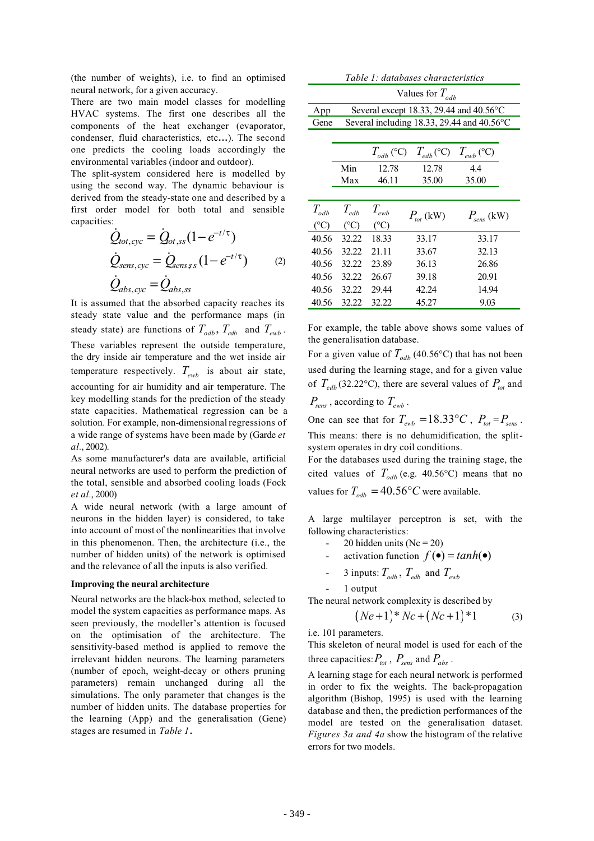(the number of weights), i.e. to find an optimised neural network, for a given accuracy.

There are two main model classes for modelling HVAC systems. The first one describes all the components of the heat exchanger (evaporator, condenser, fluid characteristics, etc**…**). The second one predicts the cooling loads accordingly the environmental variables (indoor and outdoor).

The split-system considered here is modelled by using the second way. The dynamic behaviour is derived from the steady-state one and described by a first order model for both total and sensible capacities:

$$
\dot{Q}_{tot,cyc} = \dot{Q}_{ot,ss} (1 - e^{-t/\tau})
$$
\n
$$
\dot{Q}_{sens,cyc} = \dot{Q}_{sens,ss} (1 - e^{-t/\tau})
$$
\n
$$
\dot{Q}_{abs,cyc} = \dot{Q}_{abs,ss}
$$
\n(2)

It is assumed that the absorbed capacity reaches its steady state value and the performance maps (in steady state) are functions of  $T_{\alpha db}$ ,  $T_{\alpha db}$  and  $T_{\alpha wb}$ . These variables represent the outside temperature, the dry inside air temperature and the wet inside air temperature respectively.  $T_{ewb}$  is about air state, accounting for air humidity and air temperature. The key modelling stands for the prediction of the steady state capacities. Mathematical regression can be a solution. For example, non-dimensional regressions of a wide range of systems have been made by (Garde *et al.*, 2002).

As some manufacturer's data are available, artificial neural networks are used to perform the prediction of the total, sensible and absorbed cooling loads (Fock *et al.*, 2000)

A wide neural network (with a large amount of neurons in the hidden layer) is considered, to take into account of most of the nonlinearities that involve in this phenomenon. Then, the architecture (i.e., the number of hidden units) of the network is optimised and the relevance of all the inputs is also verified.

#### **Improving the neural architecture**

Neural networks are the black-box method, selected to model the system capacities as performance maps. As seen previously, the modeller's attention is focused on the optimisation of the architecture. The sensitivity-based method is applied to remove the irrelevant hidden neurons. The learning parameters (number of epoch, weight-decay or others pruning parameters) remain unchanged during all the simulations. The only parameter that changes is the number of hidden units. The database properties for the learning (App) and the generalisation (Gene) stages are resumed in *Table 1***.**

| Table 1: databases characteristics |                                                   |                  |                                                                                                                              |                 |  |
|------------------------------------|---------------------------------------------------|------------------|------------------------------------------------------------------------------------------------------------------------------|-----------------|--|
| Values for $T_{\alpha d b}$        |                                                   |                  |                                                                                                                              |                 |  |
| App                                | Several except 18.33, 29.44 and $40.56^{\circ}$ C |                  |                                                                                                                              |                 |  |
| Gene                               | Several including 18.33, 29.44 and 40.56°C        |                  |                                                                                                                              |                 |  |
|                                    |                                                   |                  |                                                                                                                              |                 |  |
|                                    |                                                   |                  | $T_{\scriptscriptstyle \alpha d b}$ (°C) $T_{\scriptscriptstyle \alpha d b}$ (°C) $T_{\scriptscriptstyle \alpha \nu b}$ (°C) |                 |  |
|                                    | Min                                               | 12.78            | 12.78                                                                                                                        | 4.4             |  |
|                                    | Max                                               | 46.11            | 35.00                                                                                                                        | 35.00           |  |
|                                    |                                                   |                  |                                                                                                                              |                 |  |
| $T_{\scriptscriptstyle \!odd}$     | $T_{edb}$                                         | $T_{\text{ewb}}$ | $P_{tot}$ (kW)                                                                                                               | $P_{sens}$ (kW) |  |
| $({}^{\circ}C)$                    | $(^{\circ}C)$                                     | $(C^{\circ}C)$   |                                                                                                                              |                 |  |
| 40.56                              | 32.22                                             | 18.33            | 33.17                                                                                                                        | 33.17           |  |
| 40.56                              | 32.22                                             | 21.11            | 33.67                                                                                                                        | 32.13           |  |
| 40.56                              | 32.22                                             | 23.89            | 36.13                                                                                                                        | 26.86           |  |
| 40.56                              | 32.22                                             | 26.67            | 39.18                                                                                                                        | 20.91           |  |
| 40.56                              | 32.22                                             | 29.44            | 42.24                                                                                                                        | 14.94           |  |
| 40.56                              | 32.22                                             | 32.22            | 45.27                                                                                                                        | 9.03            |  |

For example, the table above shows some values of the generalisation database.

For a given value of  $T_{\alpha d b}$  (40.56°C) that has not been used during the learning stage, and for a given value of  $T_{edb}$  (32.22°C), there are several values of  $P_{tot}$  and

 $P_{\text{sens}}$ , according to  $T_{\text{ewb}}$ .

One can see that for  $T_{ewb} = 18.33 \degree C$ ,  $P_{tot} = P_{sens}$ . This means: there is no dehumidification, the splitsystem operates in dry coil conditions.

For the databases used during the training stage, the cited values of  $T_{\alpha db}$  (e.g. 40.56°C) means that no values for  $T_{\textit{odb}} = 40.56$ °C were available.

A large multilayer perceptron is set, with the following characteristics:

- 20 hidden units ( $Nc = 20$ )
- activation function  $f(\bullet) = \tanh(\bullet)$
- 3 inputs:  $T_{\alpha db}$ ,  $T_{\alpha db}$  and  $T_{\alpha wb}$
- 1 output

The neural network complexity is described by

$$
(Ne+1)*Nc+(Nc+1)*1
$$
 (3)

i.e. 101 parameters.

This skeleton of neural model is used for each of the three capacities:  $P_{tot}$ ,  $P_{sens}$  and  $P_{abs}$ .

A learning stage for each neural network is performed in order to fix the weights. The back-propagation algorithm (Bishop, 1995) is used with the learning database and then, the prediction performances of the model are tested on the generalisation dataset. *Figures 3a and 4a* show the histogram of the relative errors for two models.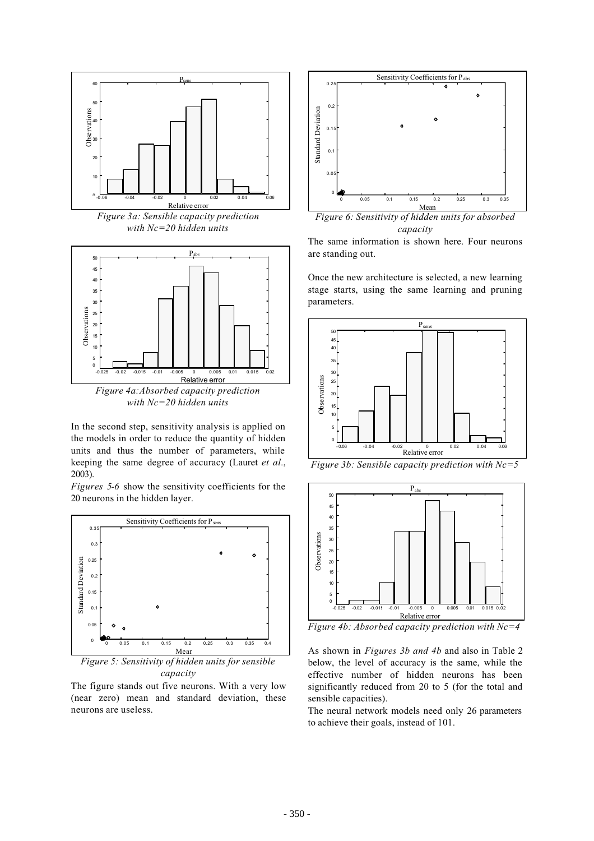

*Figure 3a: Sensible capacity prediction with Nc=20 hidden units*



In the second step, sensitivity analysis is applied on the models in order to reduce the quantity of hidden units and thus the number of parameters, while keeping the same degree of accuracy (Lauret *et al.*, 2003).

*Figures 5-6* show the sensitivity coefficients for the 20 neurons in the hidden layer.



*Figure 5: Sensitivity of hidden units for sensible capacity*

The figure stands out five neurons. With a very low (near zero) mean and standard deviation, these neurons are useless.



*Figure 6: Sensitivity of hidden units for absorbed capacity*

The same information is shown here. Four neurons are standing out.

Once the new architecture is selected, a new learning stage starts, using the same learning and pruning parameters.



*Figure 3b: Sensible capacity prediction with Nc=5*



*Figure 4b: Absorbed capacity prediction with Nc=4*

As shown in *Figures 3b and 4b* and also in Table 2 below, the level of accuracy is the same, while the effective number of hidden neurons has been significantly reduced from 20 to 5 (for the total and sensible capacities).

The neural network models need only 26 parameters to achieve their goals, instead of 101.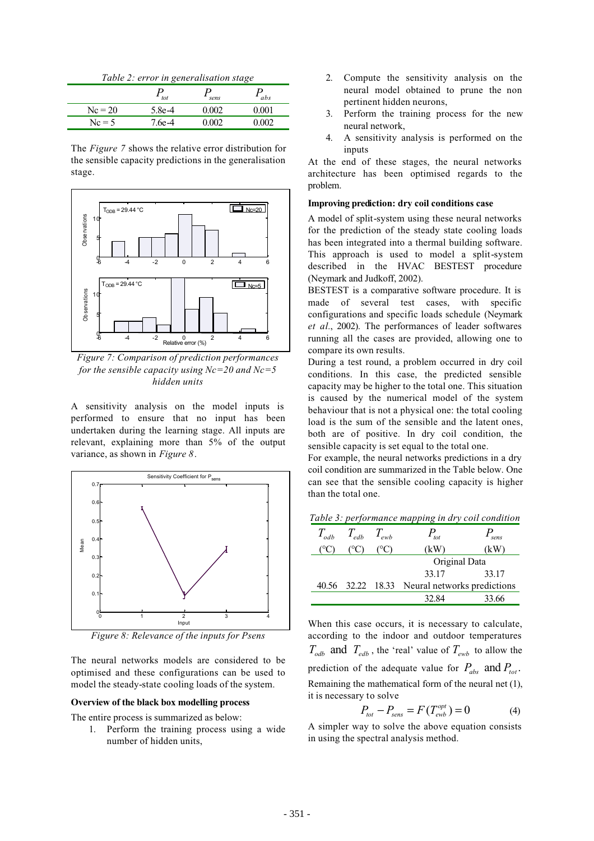|  | Table 2: error in generalisation stage |  |
|--|----------------------------------------|--|
|  |                                        |  |

|           | tot    | sens  | abs         |
|-----------|--------|-------|-------------|
| $Nc = 20$ | 5.8e-4 | 0.002 | $\rm 0.001$ |
| $Nc = 5$  | 7.6e-4 | 0.002 | 0.002       |

The *Figure 7* shows the relative error distribution for the sensible capacity predictions in the generalisation stage.



*Figure 7: Comparison of prediction performances for the sensible capacity using Nc=20 and Nc=5 hidden units*

A sensitivity analysis on the model inputs is performed to ensure that no input has been undertaken during the learning stage. All inputs are relevant, explaining more than 5% of the output variance, as shown in *Figure 8*.



*Figure 8: Relevance of the inputs for Psens*

The neural networks models are considered to be optimised and these configurations can be used to model the steady-state cooling loads of the system.

#### **Overview of the black box modelling process**

The entire process is summarized as below:

1. Perform the training process using a wide number of hidden units,

- 2. Compute the sensitivity analysis on the neural model obtained to prune the non pertinent hidden neurons,
- 3. Perform the training process for the new neural network,
- 4. A sensitivity analysis is performed on the inputs

At the end of these stages, the neural networks architecture has been optimised regards to the problem.

### **Improving prediction: dry coil conditions case**

A model of split-system using these neural networks for the prediction of the steady state cooling loads has been integrated into a thermal building software. This approach is used to model a split-system described in the HVAC BESTEST procedure (Neymark and Judkoff, 2002).

BESTEST is a comparative software procedure. It is made of several test cases, with specific configurations and specific loads schedule (Neymark *et al.*, 2002). The performances of leader softwares running all the cases are provided, allowing one to compare its own results.

During a test round, a problem occurred in dry coil conditions. In this case, the predicted sensible capacity may be higher to the total one. This situation is caused by the numerical model of the system behaviour that is not a physical one: the total cooling load is the sum of the sensible and the latent ones, both are of positive. In dry coil condition, the sensible capacity is set equal to the total one.

For example, the neural networks predictions in a dry coil condition are summarized in the Table below. One can see that the sensible cooling capacity is higher than the total one.

*Table 3: performance mapping in dry coil condition*

| $T_{\alpha ab}$ | $T_{edb}$ $T_{ewb}$ | $P_{_{tot}}$                                  | sens  |
|-----------------|---------------------|-----------------------------------------------|-------|
|                 |                     | (kW)                                          | κW    |
|                 |                     | Original Data                                 |       |
|                 |                     | 33.17                                         | 33.17 |
|                 |                     | 40.56 32.22 18.33 Neural networks predictions |       |
|                 |                     | 32.84                                         | 33.66 |

When this case occurs, it is necessary to calculate, according to the indoor and outdoor temperatures  $T_{\alpha ab}$  and  $T_{\alpha ab}$ , the 'real' value of  $T_{\alpha ab}$  to allow the prediction of the adequate value for  $P_{abs}$  and  $P_{tot}$ . Remaining the mathematical form of the neural net (1), it is necessary to solve

$$
P_{tot} - P_{sens} = F(T_{ewb}^{opt}) = 0
$$
 (4)

A simpler way to solve the above equation consists in using the spectral analysis method.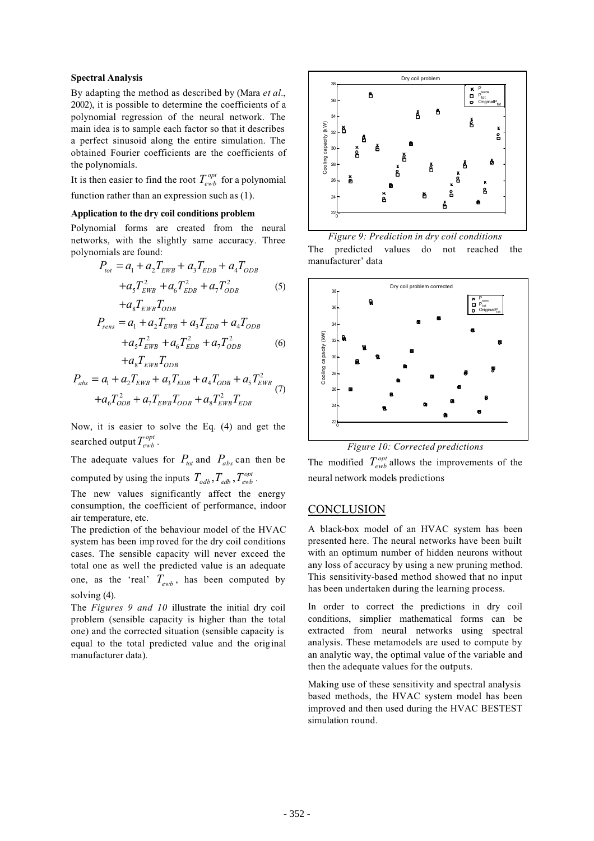### **Spectral Analysis**

By adapting the method as described by (Mara *et al.*, 2002), it is possible to determine the coefficients of a polynomial regression of the neural network. The main idea is to sample each factor so that it describes a perfect sinusoid along the entire simulation. The obtained Fourier coefficients are the coefficients of the polynomials.

It is then easier to find the root  $T_{ewb}^{opt}$  for a polynomial function rather than an expression such as (1).

#### **Application to the dry coil conditions problem**

Polynomial forms are created from the neural networks, with the slightly same accuracy. Three polynomials are found:

$$
P_{tot} = a_1 + a_2 T_{EWB} + a_3 T_{EDB} + a_4 T_{ODB}
$$

$$
+ a_5 T_{EWB}^2 + a_6 T_{EDB}^2 + a_7 T_{ODB}^2
$$
(5)

$$
+a_8 T_{EWB} T_{ODB}
$$
  
\n
$$
P_{sens} = a_1 + a_2 T_{EWB} + a_3 T_{EDB} + a_4 T_{ODB}
$$
  
\n
$$
+a_5 T_{EWB}^2 + a_6 T_{EDB}^2 + a_7 T_{ODB}^2
$$
 (6)

$$
+a_8 T_{EWB} T_{ODB}
$$
  
\n
$$
P_{abs} = a_1 + a_2 T_{EWB} + a_3 T_{EDB} + a_4 T_{ODB} + a_5 T_{EWB}^2
$$
  
\n
$$
+a_6 T_{ODB}^2 + a_7 T_{EWB} T_{ODB} + a_8 T_{EWB}^2 T_{EDB}
$$
 (7)

Now, it is easier to solve the Eq. (4) and get the searched output  $T_{ewb}^{opt}$ .

The adequate values for  $P_{tot}$  and  $P_{abs}$  can then be computed by using the inputs  $T_{\text{odb}}$ ,  $T_{\text{edb}}$ ,  $T_{\text{ewb}}^{\text{opt}}$ .

The new values significantly affect the energy consumption, the coefficient of performance, indoor air temperature, etc.

The prediction of the behaviour model of the HVAC system has been imp roved for the dry coil conditions cases. The sensible capacity will never exceed the total one as well the predicted value is an adequate one, as the 'real'  $T_{ewb}$ , has been computed by solving (4).

The *Figures 9 and 10* illustrate the initial dry coil problem (sensible capacity is higher than the total one) and the corrected situation (sensible capacity is equal to the total predicted value and the original manufacturer data).



*Figure 9: Prediction in dry coil conditions* The predicted values do not reached the manufacturer' data



*Figure 10: Corrected predictions*

The modified  $T_{ewb}^{opt}$  allows the improvements of the neural network models predictions

### **CONCLUSION**

A black-box model of an HVAC system has been presented here. The neural networks have been built with an optimum number of hidden neurons without any loss of accuracy by using a new pruning method. This sensitivity-based method showed that no input has been undertaken during the learning process.

In order to correct the predictions in dry coil conditions, simplier mathematical forms can be extracted from neural networks using spectral analysis. These metamodels are used to compute by an analytic way, the optimal value of the variable and then the adequate values for the outputs.

Making use of these sensitivity and spectral analysis based methods, the HVAC system model has been improved and then used during the HVAC BESTEST simulation round.